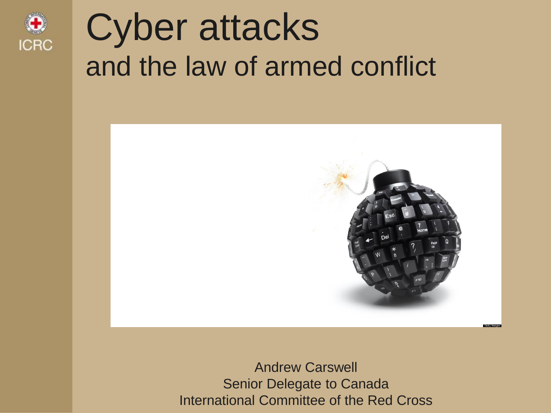

# Cyber attacks and the law of armed conflict



Andrew Carswell Senior Delegate to Canada International Committee of the Red Cross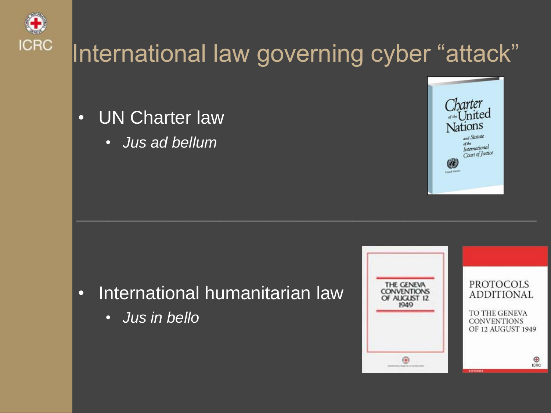

#### International law governing cyber "attack"

*\_\_\_\_\_\_\_\_\_\_\_\_\_\_\_\_\_\_\_\_\_\_\_\_\_\_\_\_\_\_\_\_\_\_\_\_\_\_\_\_\_\_\_\_\_*

- UN Charter law
	- *Jus ad bellum*



- International humanitarian law
	- *Jus in bello*

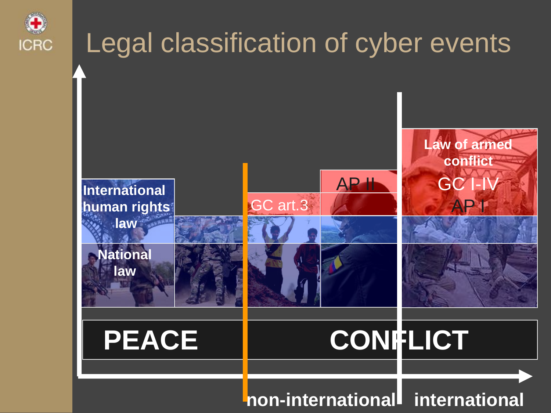

#### Legal classification of cyber events **IHAH HYH**<br>Iaw **Internal Conflict Tensions or disturbances LOAC International Conflict** GC **I Internal conflict human rights International law National law** GC art.3 AP II AP I Law of armed PEACE | CONFLICT

#### **non-international international**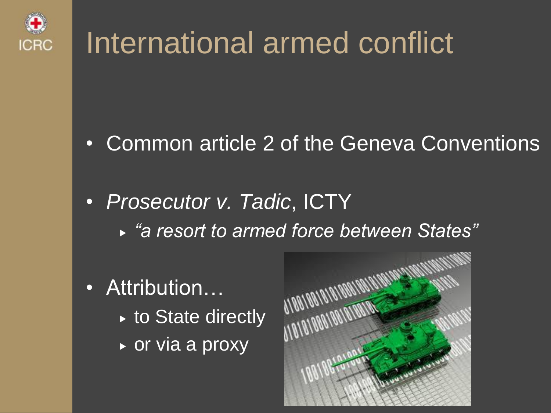

## International armed conflict

- Common article 2 of the Geneva Conventions
- *Prosecutor v. Tadic*, ICTY *"a resort to armed force between States"*
- Attribution…
	- $\triangleright$  to State directly
	- $\triangleright$  or via a proxy

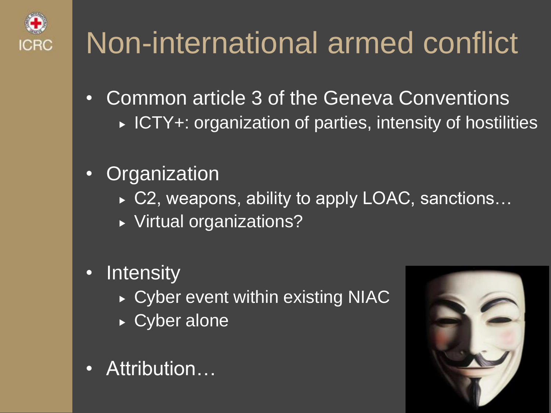

# Non-international armed conflict

- Common article 3 of the Geneva Conventions ► ICTY+: organization of parties, intensity of hostilities
- Organization
	- ► C2, weapons, ability to apply LOAC, sanctions...
	- Virtual organizations?
- Intensity
	- ▶ Cyber event within existing NIAC
	- ► Cyber alone
- Attribution…

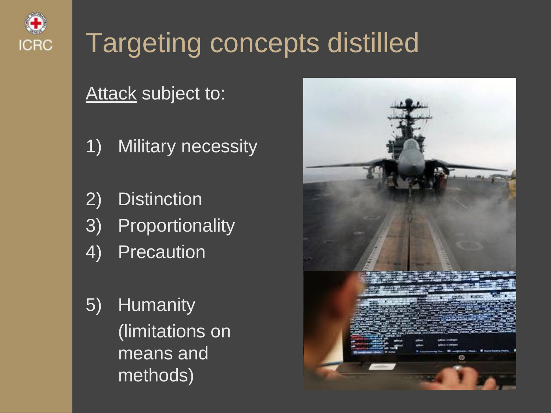

### Targeting concepts distilled

#### Attack subject to:

- 1) Military necessity
- 2) Distinction
- 3) Proportionality
- 4) Precaution
- 5) Humanity (limitations on means and methods)

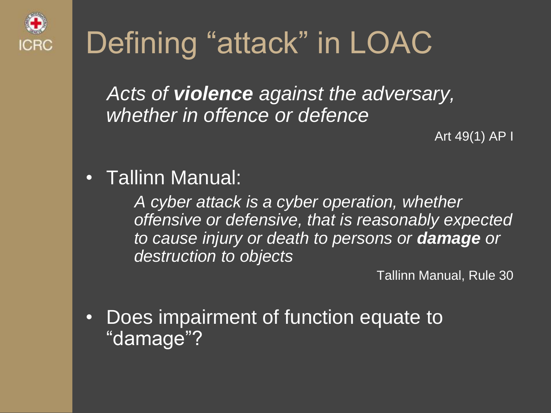

# Defining "attack" in LOAC

*Acts of violence against the adversary, whether in offence or defence*

Art 49(1) AP I

• Tallinn Manual:

*A cyber attack is a cyber operation, whether offensive or defensive, that is reasonably expected to cause injury or death to persons or damage or destruction to objects*

Tallinn Manual, Rule 30

• Does impairment of function equate to "damage"?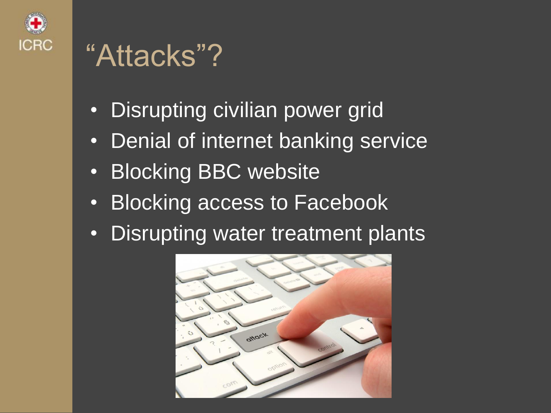

#### "Attacks"?

- Disrupting civilian power grid
- Denial of internet banking service
- Blocking BBC website
- Blocking access to Facebook
- Disrupting water treatment plants

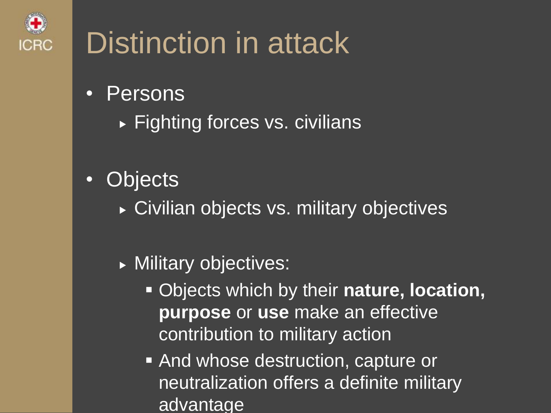

## Distinction in attack

- Persons
	- ▶ Fighting forces vs. civilians
- Objects
	- ► Civilian objects vs. military objectives
	- **Military objectives:** 
		- Objects which by their **nature, location, purpose** or **use** make an effective contribution to military action
		- And whose destruction, capture or neutralization offers a definite military advantage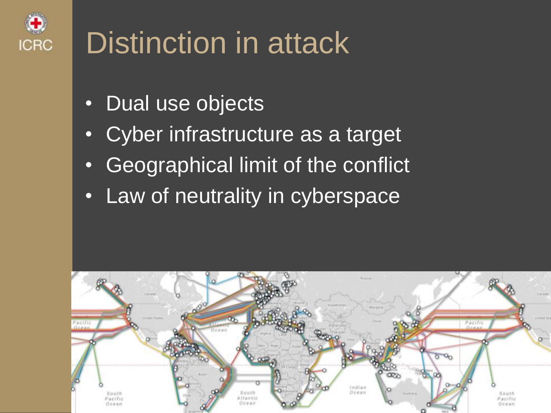

## Distinction in attack

- Dual use objects
- Cyber infrastructure as a target
- Geographical limit of the conflict
- Law of neutrality in cyberspace

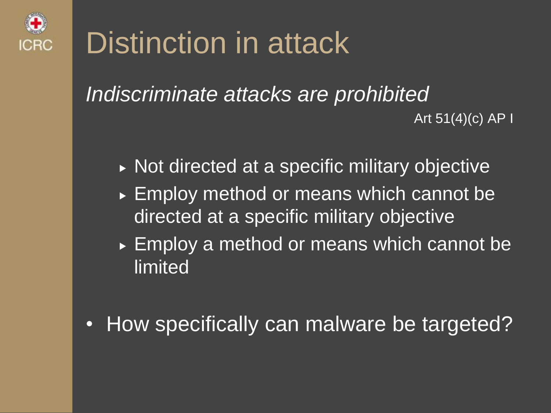

### Distinction in attack

*Indiscriminate attacks are prohibited* Art  $51(4)(c)$  AP I

- ▶ Not directed at a specific military objective
- ► Employ method or means which cannot be directed at a specific military objective
- ► Employ a method or means which cannot be limited
- How specifically can malware be targeted?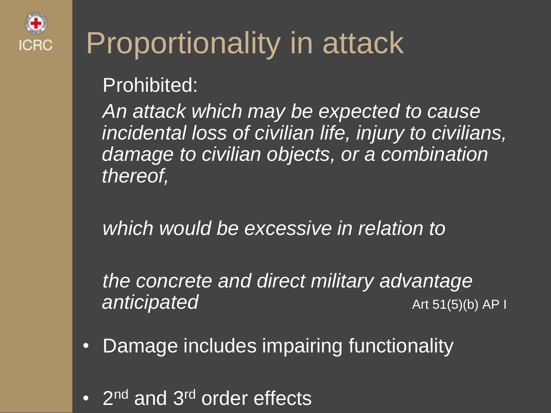

## Proportionality in attack

Prohibited:

*An attack which may be expected to cause incidental loss of civilian life, injury to civilians, damage to civilian objects, or a combination thereof,* 

*which would be excessive in relation to*

*the concrete and direct military advantage*  **anticipated Art 51(5)(b)** AP I

- Damage includes impairing functionality
- 2<sup>nd</sup> and 3<sup>rd</sup> order effects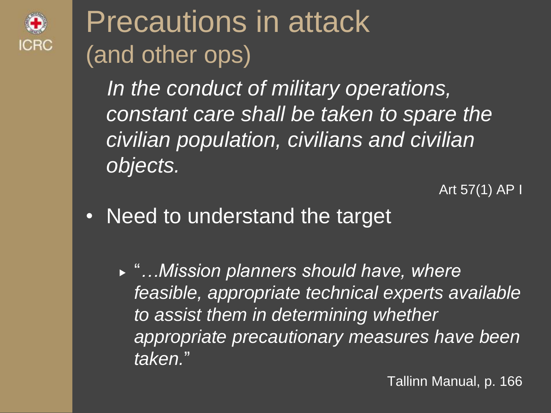

### Precautions in attack (and other ops)

*In the conduct of military operations, constant care shall be taken to spare the civilian population, civilians and civilian objects.*

Art 57(1) AP I

- Need to understand the target
	- "*…Mission planners should have, where feasible, appropriate technical experts available to assist them in determining whether appropriate precautionary measures have been taken.*"

Tallinn Manual, p. 166